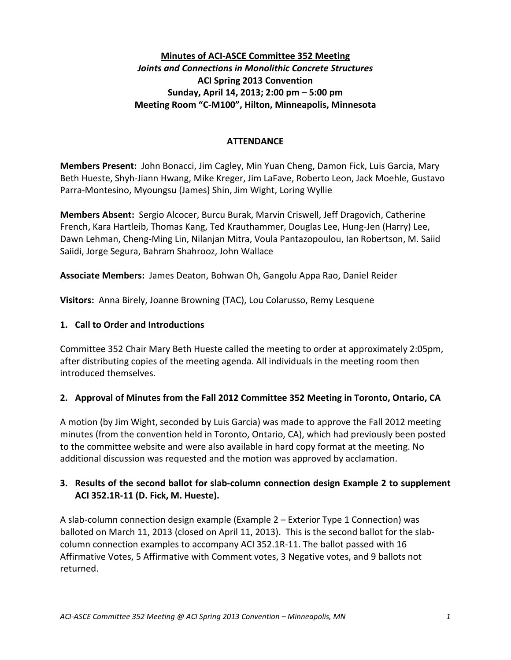## **Minutes of ACI-ASCE Committee 352 Meeting** *Joints and Connections in Monolithic Concrete Structures* **ACI Spring 2013 Convention Sunday, April 14, 2013; 2:00 pm – 5:00 pm Meeting Room "C-M100", Hilton, Minneapolis, Minnesota**

#### **ATTENDANCE**

**Members Present:** John Bonacci, Jim Cagley, Min Yuan Cheng, Damon Fick, Luis Garcia, Mary Beth Hueste, Shyh-Jiann Hwang, Mike Kreger, Jim LaFave, Roberto Leon, Jack Moehle, Gustavo Parra-Montesino, Myoungsu (James) Shin, Jim Wight, Loring Wyllie

**Members Absent:** Sergio Alcocer, Burcu Burak, Marvin Criswell, Jeff Dragovich, Catherine French, Kara Hartleib, Thomas Kang, Ted Krauthammer, Douglas Lee, Hung-Jen (Harry) Lee, Dawn Lehman, Cheng-Ming Lin, Nilanjan Mitra, Voula Pantazopoulou, Ian Robertson, M. Saiid Saiidi, Jorge Segura, Bahram Shahrooz, John Wallace

**Associate Members:** James Deaton, Bohwan Oh, Gangolu Appa Rao, Daniel Reider

**Visitors:** Anna Birely, Joanne Browning (TAC), Lou Colarusso, Remy Lesquene

#### **1. Call to Order and Introductions**

Committee 352 Chair Mary Beth Hueste called the meeting to order at approximately 2:05pm, after distributing copies of the meeting agenda. All individuals in the meeting room then introduced themselves.

### **2. Approval of Minutes from the Fall 2012 Committee 352 Meeting in Toronto, Ontario, CA**

A motion (by Jim Wight, seconded by Luis Garcia) was made to approve the Fall 2012 meeting minutes (from the convention held in Toronto, Ontario, CA), which had previously been posted to the committee website and were also available in hard copy format at the meeting. No additional discussion was requested and the motion was approved by acclamation.

### **3. Results of the second ballot for slab-column connection design Example 2 to supplement ACI 352.1R-11 (D. Fick, M. Hueste).**

A slab-column connection design example (Example 2 – Exterior Type 1 Connection) was balloted on March 11, 2013 (closed on April 11, 2013). This is the second ballot for the slabcolumn connection examples to accompany ACI 352.1R-11. The ballot passed with 16 Affirmative Votes, 5 Affirmative with Comment votes, 3 Negative votes, and 9 ballots not returned.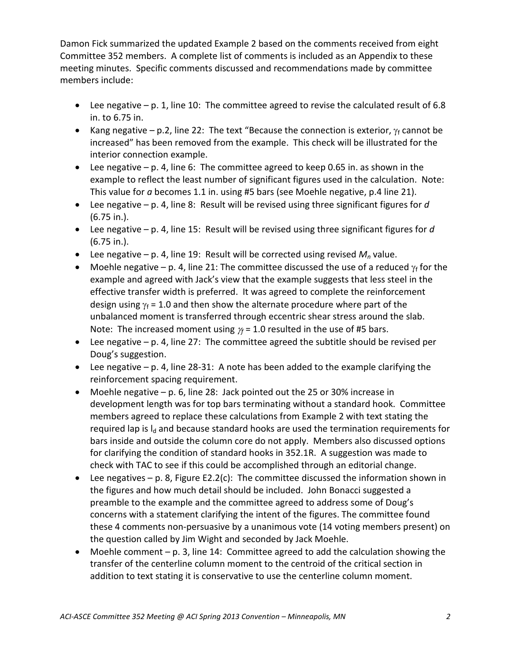Damon Fick summarized the updated Example 2 based on the comments received from eight Committee 352 members. A complete list of comments is included as an Appendix to these meeting minutes. Specific comments discussed and recommendations made by committee members include:

- Lee negative p. 1, line 10: The committee agreed to revise the calculated result of 6.8 in. to 6.75 in.
- Kang negative p.2, line 22: The text "Because the connection is exterior,  $\gamma_f$  cannot be increased" has been removed from the example. This check will be illustrated for the interior connection example.
- Lee negative  $-$  p. 4, line 6: The committee agreed to keep 0.65 in. as shown in the example to reflect the least number of significant figures used in the calculation. Note: This value for *a* becomes 1.1 in. using #5 bars (see Moehle negative, p.4 line 21).
- Lee negative p. 4, line 8: Result will be revised using three significant figures for *d* (6.75 in.).
- Lee negative p. 4, line 15: Result will be revised using three significant figures for *d* (6.75 in.).
- Lee negative p. 4, line 19: Result will be corrected using revised  $M_n$  value.
- Moehle negative p. 4, line 21: The committee discussed the use of a reduced  $\gamma_f$  for the example and agreed with Jack's view that the example suggests that less steel in the effective transfer width is preferred. It was agreed to complete the reinforcement design using  $\gamma_f$  = 1.0 and then show the alternate procedure where part of the unbalanced moment is transferred through eccentric shear stress around the slab. Note: The increased moment using  $\gamma_f$  = 1.0 resulted in the use of #5 bars.
- Lee negative  $-$  p. 4, line 27: The committee agreed the subtitle should be revised per Doug's suggestion.
- Lee negative  $-$  p. 4, line 28-31: A note has been added to the example clarifying the reinforcement spacing requirement.
- Moehle negative p. 6, line 28: Jack pointed out the 25 or 30% increase in development length was for top bars terminating without a standard hook. Committee members agreed to replace these calculations from Example 2 with text stating the required lap is  $I_d$  and because standard hooks are used the termination requirements for bars inside and outside the column core do not apply. Members also discussed options for clarifying the condition of standard hooks in 352.1R. A suggestion was made to check with TAC to see if this could be accomplished through an editorial change.
- Lee negatives p. 8, Figure E2.2(c): The committee discussed the information shown in the figures and how much detail should be included. John Bonacci suggested a preamble to the example and the committee agreed to address some of Doug's concerns with a statement clarifying the intent of the figures. The committee found these 4 comments non-persuasive by a unanimous vote (14 voting members present) on the question called by Jim Wight and seconded by Jack Moehle.
- Moehle comment  $-$  p. 3, line 14: Committee agreed to add the calculation showing the transfer of the centerline column moment to the centroid of the critical section in addition to text stating it is conservative to use the centerline column moment.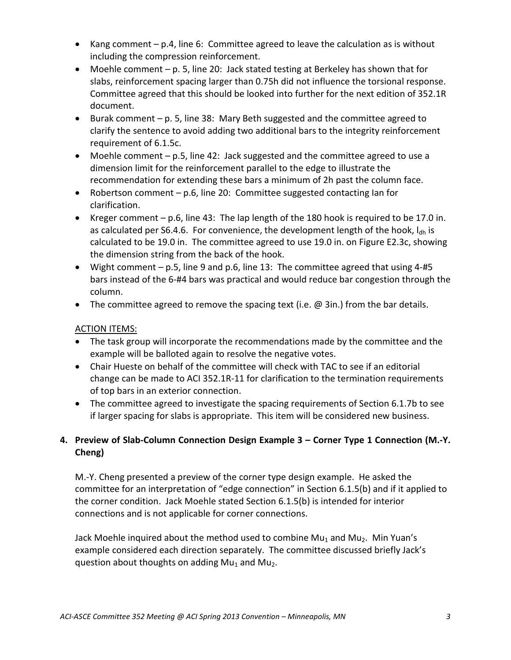- Kang comment p.4, line 6: Committee agreed to leave the calculation as is without including the compression reinforcement.
- Moehle comment p. 5, line 20: Jack stated testing at Berkeley has shown that for slabs, reinforcement spacing larger than 0.75h did not influence the torsional response. Committee agreed that this should be looked into further for the next edition of 352.1R document.
- Burak comment p. 5, line 38: Mary Beth suggested and the committee agreed to clarify the sentence to avoid adding two additional bars to the integrity reinforcement requirement of 6.1.5c.
- Moehle comment p.5, line 42: Jack suggested and the committee agreed to use a dimension limit for the reinforcement parallel to the edge to illustrate the recommendation for extending these bars a minimum of 2h past the column face.
- Robertson comment p.6, line 20: Committee suggested contacting Ian for clarification.
- Kreger comment p.6, line 43: The lap length of the 180 hook is required to be 17.0 in. as calculated per S6.4.6. For convenience, the development length of the hook,  $I_{\text{dh}}$  is calculated to be 19.0 in. The committee agreed to use 19.0 in. on Figure E2.3c, showing the dimension string from the back of the hook.
- Wight comment  $-$  p.5, line 9 and p.6, line 13: The committee agreed that using 4-#5 bars instead of the 6-#4 bars was practical and would reduce bar congestion through the column.
- The committee agreed to remove the spacing text (i.e.  $\omega$  3in.) from the bar details.

## ACTION ITEMS:

- The task group will incorporate the recommendations made by the committee and the example will be balloted again to resolve the negative votes.
- Chair Hueste on behalf of the committee will check with TAC to see if an editorial change can be made to ACI 352.1R-11 for clarification to the termination requirements of top bars in an exterior connection.
- The committee agreed to investigate the spacing requirements of Section 6.1.7b to see if larger spacing for slabs is appropriate. This item will be considered new business.

# **4. Preview of Slab-Column Connection Design Example 3 – Corner Type 1 Connection (M.-Y. Cheng)**

M.-Y. Cheng presented a preview of the corner type design example. He asked the committee for an interpretation of "edge connection" in Section 6.1.5(b) and if it applied to the corner condition. Jack Moehle stated Section 6.1.5(b) is intended for interior connections and is not applicable for corner connections.

Jack Moehle inquired about the method used to combine Mu<sub>1</sub> and Mu<sub>2</sub>. Min Yuan's example considered each direction separately. The committee discussed briefly Jack's question about thoughts on adding  $Mu_1$  and  $Mu_2$ .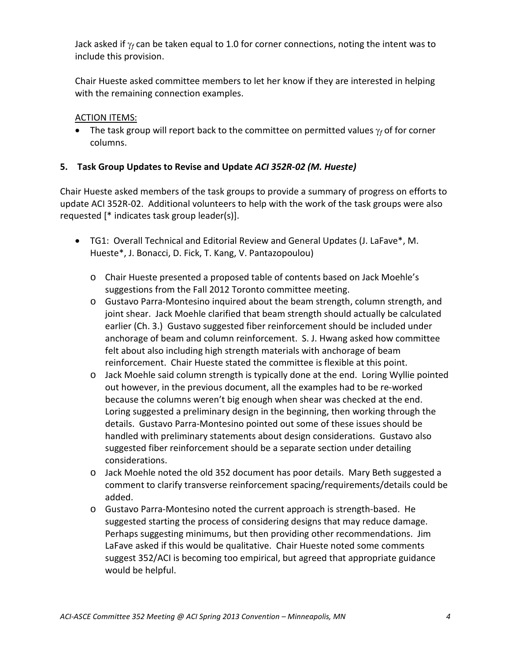Jack asked if γ*<sup>f</sup>* can be taken equal to 1.0 for corner connections, noting the intent was to include this provision.

Chair Hueste asked committee members to let her know if they are interested in helping with the remaining connection examples.

## ACTION ITEMS:

• The task group will report back to the committee on permitted values γ*<sup>f</sup>* of for corner columns.

## **5. Task Group Updates to Revise and Update** *ACI 352R-02 (M. Hueste)*

Chair Hueste asked members of the task groups to provide a summary of progress on efforts to update ACI 352R-02. Additional volunteers to help with the work of the task groups were also requested [\* indicates task group leader(s)].

- TG1: Overall Technical and Editorial Review and General Updates (J. LaFave\*, M. Hueste\*, J. Bonacci, D. Fick, T. Kang, V. Pantazopoulou)
	- o Chair Hueste presented a proposed table of contents based on Jack Moehle's suggestions from the Fall 2012 Toronto committee meeting.
	- o Gustavo Parra-Montesino inquired about the beam strength, column strength, and joint shear. Jack Moehle clarified that beam strength should actually be calculated earlier (Ch. 3.) Gustavo suggested fiber reinforcement should be included under anchorage of beam and column reinforcement. S. J. Hwang asked how committee felt about also including high strength materials with anchorage of beam reinforcement. Chair Hueste stated the committee is flexible at this point.
	- o Jack Moehle said column strength is typically done at the end. Loring Wyllie pointed out however, in the previous document, all the examples had to be re-worked because the columns weren't big enough when shear was checked at the end. Loring suggested a preliminary design in the beginning, then working through the details. Gustavo Parra-Montesino pointed out some of these issues should be handled with preliminary statements about design considerations. Gustavo also suggested fiber reinforcement should be a separate section under detailing considerations.
	- o Jack Moehle noted the old 352 document has poor details. Mary Beth suggested a comment to clarify transverse reinforcement spacing/requirements/details could be added.
	- o Gustavo Parra-Montesino noted the current approach is strength-based. He suggested starting the process of considering designs that may reduce damage. Perhaps suggesting minimums, but then providing other recommendations. Jim LaFave asked if this would be qualitative. Chair Hueste noted some comments suggest 352/ACI is becoming too empirical, but agreed that appropriate guidance would be helpful.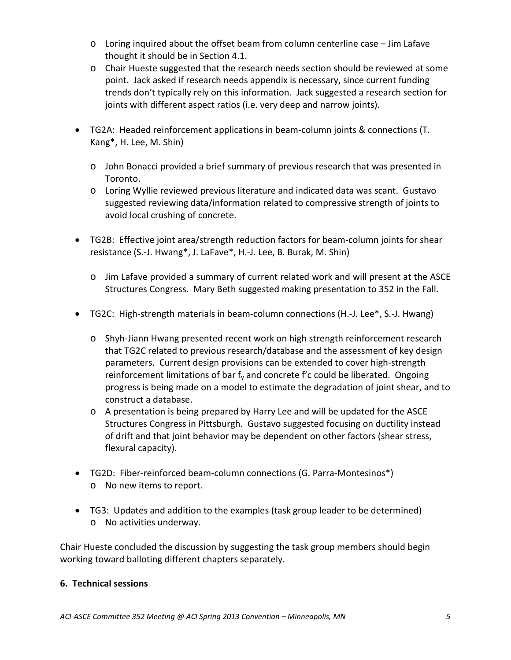- o Loring inquired about the offset beam from column centerline case Jim Lafave thought it should be in Section 4.1.
- o Chair Hueste suggested that the research needs section should be reviewed at some point. Jack asked if research needs appendix is necessary, since current funding trends don't typically rely on this information. Jack suggested a research section for joints with different aspect ratios (i.e. very deep and narrow joints).
- TG2A: Headed reinforcement applications in beam-column joints & connections (T. Kang\*, H. Lee, M. Shin)
	- o John Bonacci provided a brief summary of previous research that was presented in Toronto.
	- o Loring Wyllie reviewed previous literature and indicated data was scant. Gustavo suggested reviewing data/information related to compressive strength of joints to avoid local crushing of concrete.
- TG2B: Effective joint area/strength reduction factors for beam-column joints for shear resistance (S.-J. Hwang\*, J. LaFave\*, H.-J. Lee, B. Burak, M. Shin)
	- o Jim Lafave provided a summary of current related work and will present at the ASCE Structures Congress. Mary Beth suggested making presentation to 352 in the Fall.
- TG2C: High-strength materials in beam-column connections (H.-J. Lee\*, S.-J. Hwang)
	- o Shyh-Jiann Hwang presented recent work on high strength reinforcement research that TG2C related to previous research/database and the assessment of key design parameters. Current design provisions can be extended to cover high-strength reinforcement limitations of bar  $f_v$  and concrete f'c could be liberated. Ongoing progress is being made on a model to estimate the degradation of joint shear, and to construct a database.
	- o A presentation is being prepared by Harry Lee and will be updated for the ASCE Structures Congress in Pittsburgh. Gustavo suggested focusing on ductility instead of drift and that joint behavior may be dependent on other factors (shear stress, flexural capacity).
- TG2D: Fiber-reinforced beam-column connections (G. Parra-Montesinos\*) o No new items to report.
- TG3: Updates and addition to the examples (task group leader to be determined) o No activities underway.

Chair Hueste concluded the discussion by suggesting the task group members should begin working toward balloting different chapters separately.

### **6. Technical sessions**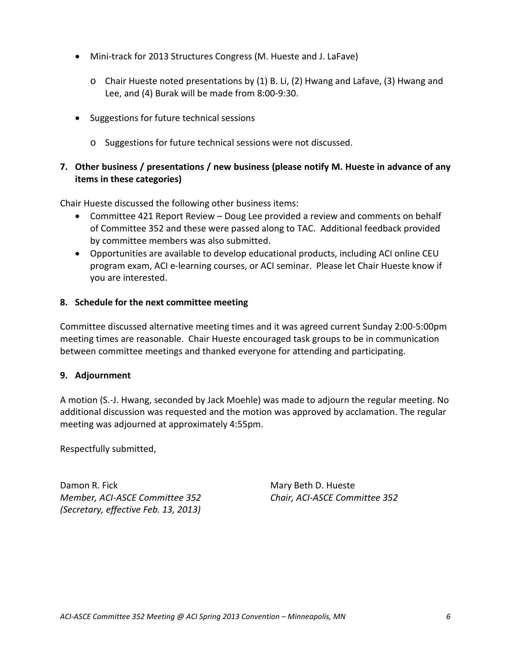- Mini-track for 2013 Structures Congress (M. Hueste and J. LaFave)
	- o Chair Hueste noted presentations by (1) B. Li, (2) Hwang and Lafave, (3) Hwang and Lee, and (4) Burak will be made from 8:00-9:30.
- Suggestions for future technical sessions
	- o Suggestions for future technical sessions were not discussed.

## **7. Other business / presentations / new business (please notify M. Hueste in advance of any items in these categories)**

Chair Hueste discussed the following other business items:

- Committee 421 Report Review Doug Lee provided a review and comments on behalf of Committee 352 and these were passed along to TAC. Additional feedback provided by committee members was also submitted.
- Opportunities are available to develop educational products, including ACI online CEU program exam, ACI e-learning courses, or ACI seminar. Please let Chair Hueste know if you are interested.

### **8. Schedule for the next committee meeting**

Committee discussed alternative meeting times and it was agreed current Sunday 2:00-5:00pm meeting times are reasonable. Chair Hueste encouraged task groups to be in communication between committee meetings and thanked everyone for attending and participating.

#### **9. Adjournment**

A motion (S.-J. Hwang, seconded by Jack Moehle) was made to adjourn the regular meeting. No additional discussion was requested and the motion was approved by acclamation. The regular meeting was adjourned at approximately 4:55pm.

Respectfully submitted,

Damon R. Fick Mary Beth D. Hueste *Member, ACI-ASCE Committee 352 Chair, ACI-ASCE Committee 352 (Secretary, effective Feb. 13, 2013)*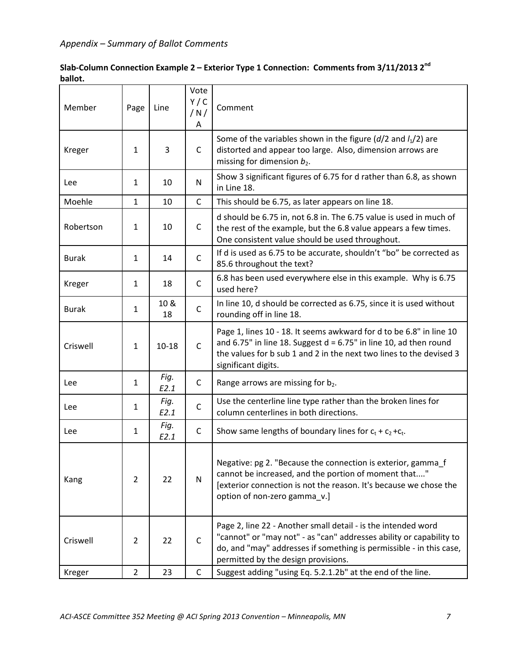| Slab-Column Connection Example 2 – Exterior Type 1 Connection: Comments from $3/11/2013$ 2 <sup>nd</sup> |  |  |  |  |  |  |  |
|----------------------------------------------------------------------------------------------------------|--|--|--|--|--|--|--|
| ballot.                                                                                                  |  |  |  |  |  |  |  |
|                                                                                                          |  |  |  |  |  |  |  |

| Member       | Page           | Line         | Vote<br>Y/C<br>/N/<br>Α | Comment                                                                                                                                                                                                                                            |
|--------------|----------------|--------------|-------------------------|----------------------------------------------------------------------------------------------------------------------------------------------------------------------------------------------------------------------------------------------------|
| Kreger       | 1              | 3            | $\mathsf C$             | Some of the variables shown in the figure ( $d/2$ and $l_1/2$ ) are<br>distorted and appear too large. Also, dimension arrows are<br>missing for dimension $b_2$ .                                                                                 |
| Lee          | $\mathbf{1}$   | 10           | N                       | Show 3 significant figures of 6.75 for d rather than 6.8, as shown<br>in Line 18.                                                                                                                                                                  |
| Moehle       | 1              | 10           | $\mathsf{C}$            | This should be 6.75, as later appears on line 18.                                                                                                                                                                                                  |
| Robertson    | $\mathbf{1}$   | 10           | C                       | d should be 6.75 in, not 6.8 in. The 6.75 value is used in much of<br>the rest of the example, but the 6.8 value appears a few times.<br>One consistent value should be used throughout.                                                           |
| <b>Burak</b> | 1              | 14           | $\mathsf{C}$            | If d is used as 6.75 to be accurate, shouldn't "bo" be corrected as<br>85.6 throughout the text?                                                                                                                                                   |
| Kreger       | 1              | 18           | $\mathsf{C}$            | 6.8 has been used everywhere else in this example. Why is 6.75<br>used here?                                                                                                                                                                       |
| <b>Burak</b> | 1              | 10 &<br>18   | $\mathsf C$             | In line 10, d should be corrected as 6.75, since it is used without<br>rounding off in line 18.                                                                                                                                                    |
| Criswell     | 1              | $10 - 18$    | $\mathsf{C}$            | Page 1, lines 10 - 18. It seems awkward for d to be 6.8" in line 10<br>and 6.75" in line 18. Suggest $d = 6.75"$ in line 10, ad then round<br>the values for b sub 1 and 2 in the next two lines to the devised 3<br>significant digits.           |
| Lee          | $\mathbf{1}$   | Fig.<br>E2.1 | C                       | Range arrows are missing for b <sub>2</sub> .                                                                                                                                                                                                      |
| Lee          | $\mathbf{1}$   | Fig.<br>E2.1 | $\mathsf{C}$            | Use the centerline line type rather than the broken lines for<br>column centerlines in both directions.                                                                                                                                            |
| Lee          | $\mathbf{1}$   | Fig.<br>E2.1 | $\mathsf{C}$            | Show same lengths of boundary lines for $c_t + c_2 + c_t$ .                                                                                                                                                                                        |
| Kang         | $\overline{2}$ | 22           | N                       | Negative: pg 2. "Because the connection is exterior, gamma_f<br>cannot be increased, and the portion of moment that"<br>[exterior connection is not the reason. It's because we chose the<br>option of non-zero gamma_v.]                          |
| Criswell     | $\overline{2}$ | 22           | $\mathsf C$             | Page 2, line 22 - Another small detail - is the intended word<br>"cannot" or "may not" - as "can" addresses ability or capability to<br>do, and "may" addresses if something is permissible - in this case,<br>permitted by the design provisions. |
| Kreger       | $\overline{2}$ | 23           | $\mathsf C$             | Suggest adding "using Eq. 5.2.1.2b" at the end of the line.                                                                                                                                                                                        |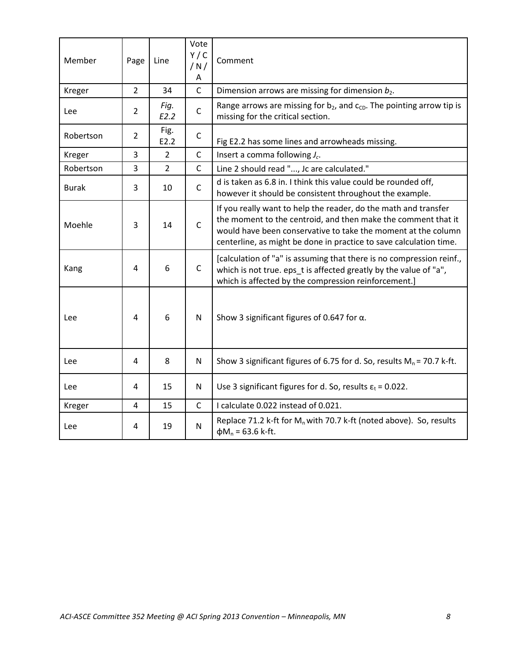| Member       | Page                    | Line           | Vote<br>Y/C<br>/N/<br>A | Comment                                                                                                                                                                                                                                                                 |
|--------------|-------------------------|----------------|-------------------------|-------------------------------------------------------------------------------------------------------------------------------------------------------------------------------------------------------------------------------------------------------------------------|
| Kreger       | $\overline{2}$          | 34             | $\mathsf C$             | Dimension arrows are missing for dimension $b_2$ .                                                                                                                                                                                                                      |
| Lee          | $\overline{2}$          | Fig.<br>E2.2   | $\mathsf C$             | Range arrows are missing for $b_2$ , and $c_{CD}$ . The pointing arrow tip is<br>missing for the critical section.                                                                                                                                                      |
| Robertson    | 2                       | Fig.<br>E2.2   | $\mathsf C$             | Fig E2.2 has some lines and arrowheads missing.                                                                                                                                                                                                                         |
| Kreger       | 3                       | $\overline{2}$ | $\mathsf{C}$            | Insert a comma following $J_c$ .                                                                                                                                                                                                                                        |
| Robertson    | 3                       | $\overline{2}$ | $\mathsf C$             | Line 2 should read ", Jc are calculated."                                                                                                                                                                                                                               |
| <b>Burak</b> | 3                       | 10             | $\mathsf{C}$            | d is taken as 6.8 in. I think this value could be rounded off,<br>however it should be consistent throughout the example.                                                                                                                                               |
| Moehle       | 3                       | 14             | $\mathsf C$             | If you really want to help the reader, do the math and transfer<br>the moment to the centroid, and then make the comment that it<br>would have been conservative to take the moment at the column<br>centerline, as might be done in practice to save calculation time. |
| Kang         | 4                       | 6              | $\mathsf{C}$            | [calculation of "a" is assuming that there is no compression reinf.,<br>which is not true. eps_t is affected greatly by the value of "a",<br>which is affected by the compression reinforcement.]                                                                       |
| Lee          | 4                       | 6              | $\mathsf{N}$            | Show 3 significant figures of 0.647 for $\alpha$ .                                                                                                                                                                                                                      |
| Lee          | 4                       | 8              | N                       | Show 3 significant figures of 6.75 for d. So, results $M_n$ = 70.7 k-ft.                                                                                                                                                                                                |
| Lee          | 4                       | 15             | N                       | Use 3 significant figures for d. So, results $\varepsilon_t$ = 0.022.                                                                                                                                                                                                   |
| Kreger       | $\overline{\mathbf{4}}$ | 15             | $\mathsf{C}$            | I calculate 0.022 instead of 0.021.                                                                                                                                                                                                                                     |
| Lee          | 4                       | 19             | N                       | Replace 71.2 k-ft for $M_n$ with 70.7 k-ft (noted above). So, results<br>$\phi M_n$ = 63.6 k-ft.                                                                                                                                                                        |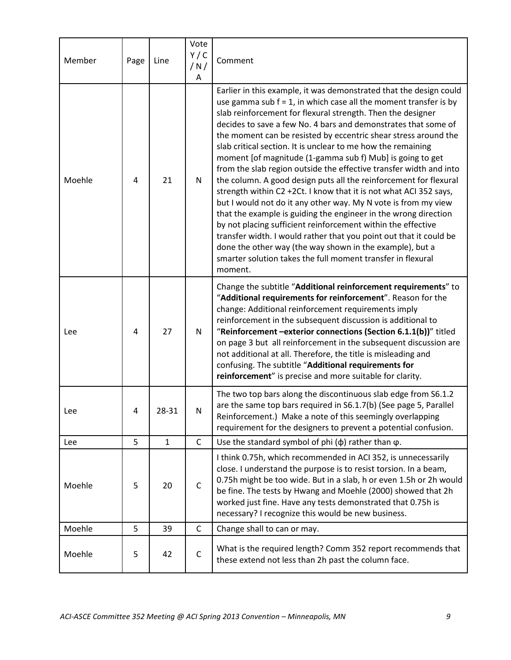| Member | Page | Line         | Vote<br>Y/C<br>/N/<br>A | Comment                                                                                                                                                                                                                                                                                                                                                                                                                                                                                                                                                                                                                                                                                                                                                                                                                                                                                                                                                                                                                                                                                                     |
|--------|------|--------------|-------------------------|-------------------------------------------------------------------------------------------------------------------------------------------------------------------------------------------------------------------------------------------------------------------------------------------------------------------------------------------------------------------------------------------------------------------------------------------------------------------------------------------------------------------------------------------------------------------------------------------------------------------------------------------------------------------------------------------------------------------------------------------------------------------------------------------------------------------------------------------------------------------------------------------------------------------------------------------------------------------------------------------------------------------------------------------------------------------------------------------------------------|
| Moehle | 4    | 21           | N                       | Earlier in this example, it was demonstrated that the design could<br>use gamma sub $f = 1$ , in which case all the moment transfer is by<br>slab reinforcement for flexural strength. Then the designer<br>decides to save a few No. 4 bars and demonstrates that some of<br>the moment can be resisted by eccentric shear stress around the<br>slab critical section. It is unclear to me how the remaining<br>moment [of magnitude (1-gamma sub f) Mub] is going to get<br>from the slab region outside the effective transfer width and into<br>the column. A good design puts all the reinforcement for flexural<br>strength within C2 +2Ct. I know that it is not what ACI 352 says,<br>but I would not do it any other way. My N vote is from my view<br>that the example is guiding the engineer in the wrong direction<br>by not placing sufficient reinforcement within the effective<br>transfer width. I would rather that you point out that it could be<br>done the other way (the way shown in the example), but a<br>smarter solution takes the full moment transfer in flexural<br>moment. |
| Lee    | 4    | 27           | N                       | Change the subtitle "Additional reinforcement requirements" to<br>"Additional requirements for reinforcement". Reason for the<br>change: Additional reinforcement requirements imply<br>reinforcement in the subsequent discussion is additional to<br>"Reinforcement -exterior connections (Section 6.1.1(b))" titled<br>on page 3 but all reinforcement in the subsequent discussion are<br>not additional at all. Therefore, the title is misleading and<br>confusing. The subtitle "Additional requirements for<br>reinforcement" is precise and more suitable for clarity.                                                                                                                                                                                                                                                                                                                                                                                                                                                                                                                             |
| Lee    | Δ    | 28-31        | N                       | The two top bars along the discontinuous slab edge from S6.1.2<br>are the same top bars required in S6.1.7(b) (See page 5, Parallel<br>Reinforcement.) Make a note of this seemingly overlapping<br>requirement for the designers to prevent a potential confusion.                                                                                                                                                                                                                                                                                                                                                                                                                                                                                                                                                                                                                                                                                                                                                                                                                                         |
| Lee    | 5    | $\mathbf{1}$ | $\mathsf{C}$            | Use the standard symbol of phi $(\phi)$ rather than $\varphi$ .                                                                                                                                                                                                                                                                                                                                                                                                                                                                                                                                                                                                                                                                                                                                                                                                                                                                                                                                                                                                                                             |
| Moehle | 5    | 20           | $\mathsf{C}$            | I think 0.75h, which recommended in ACI 352, is unnecessarily<br>close. I understand the purpose is to resist torsion. In a beam,<br>0.75h might be too wide. But in a slab, h or even 1.5h or 2h would<br>be fine. The tests by Hwang and Moehle (2000) showed that 2h<br>worked just fine. Have any tests demonstrated that 0.75h is<br>necessary? I recognize this would be new business.                                                                                                                                                                                                                                                                                                                                                                                                                                                                                                                                                                                                                                                                                                                |
| Moehle | 5    | 39           | $\mathsf C$             | Change shall to can or may.                                                                                                                                                                                                                                                                                                                                                                                                                                                                                                                                                                                                                                                                                                                                                                                                                                                                                                                                                                                                                                                                                 |
| Moehle | 5    | 42           | $\mathsf{C}$            | What is the required length? Comm 352 report recommends that<br>these extend not less than 2h past the column face.                                                                                                                                                                                                                                                                                                                                                                                                                                                                                                                                                                                                                                                                                                                                                                                                                                                                                                                                                                                         |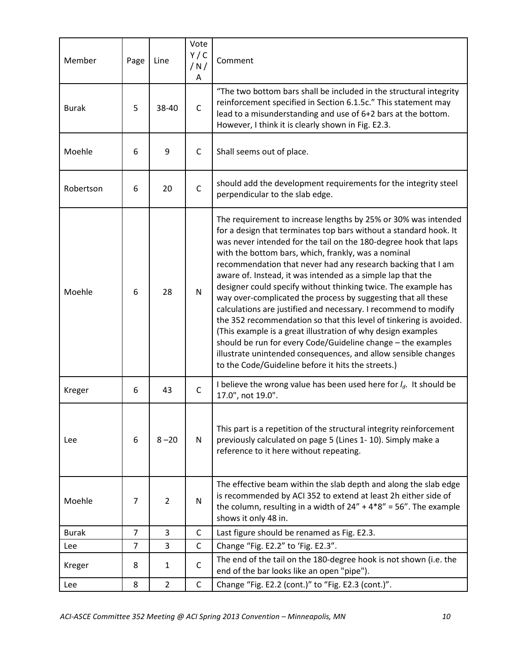| Member       | Page           | Line           | Vote<br>Y/C<br>/N/<br>A | Comment                                                                                                                                                                                                                                                                                                                                                                                                                                                                                                                                                                                                                                                                                                                                                                                                                                                                                                                           |
|--------------|----------------|----------------|-------------------------|-----------------------------------------------------------------------------------------------------------------------------------------------------------------------------------------------------------------------------------------------------------------------------------------------------------------------------------------------------------------------------------------------------------------------------------------------------------------------------------------------------------------------------------------------------------------------------------------------------------------------------------------------------------------------------------------------------------------------------------------------------------------------------------------------------------------------------------------------------------------------------------------------------------------------------------|
| <b>Burak</b> | 5              | 38-40          | $\mathsf{C}$            | "The two bottom bars shall be included in the structural integrity<br>reinforcement specified in Section 6.1.5c." This statement may<br>lead to a misunderstanding and use of 6+2 bars at the bottom.<br>However, I think it is clearly shown in Fig. E2.3.                                                                                                                                                                                                                                                                                                                                                                                                                                                                                                                                                                                                                                                                       |
| Moehle       | 6              | 9              | $\mathsf{C}$            | Shall seems out of place.                                                                                                                                                                                                                                                                                                                                                                                                                                                                                                                                                                                                                                                                                                                                                                                                                                                                                                         |
| Robertson    | 6              | 20             | $\mathsf{C}$            | should add the development requirements for the integrity steel<br>perpendicular to the slab edge.                                                                                                                                                                                                                                                                                                                                                                                                                                                                                                                                                                                                                                                                                                                                                                                                                                |
| Moehle       | 6              | 28             | N                       | The requirement to increase lengths by 25% or 30% was intended<br>for a design that terminates top bars without a standard hook. It<br>was never intended for the tail on the 180-degree hook that laps<br>with the bottom bars, which, frankly, was a nominal<br>recommendation that never had any research backing that I am<br>aware of. Instead, it was intended as a simple lap that the<br>designer could specify without thinking twice. The example has<br>way over-complicated the process by suggesting that all these<br>calculations are justified and necessary. I recommend to modify<br>the 352 recommendation so that this level of tinkering is avoided.<br>(This example is a great illustration of why design examples<br>should be run for every Code/Guideline change - the examples<br>illustrate unintended consequences, and allow sensible changes<br>to the Code/Guideline before it hits the streets.) |
| Kreger       | 6              | 43             | $\mathsf{C}$            | I believe the wrong value has been used here for $I_d$ . It should be<br>17.0", not 19.0".                                                                                                                                                                                                                                                                                                                                                                                                                                                                                                                                                                                                                                                                                                                                                                                                                                        |
| Lee          | 6              | $8 - 20$       | N                       | This part is a repetition of the structural integrity reinforcement<br>previously calculated on page 5 (Lines 1-10). Simply make a<br>reference to it here without repeating.                                                                                                                                                                                                                                                                                                                                                                                                                                                                                                                                                                                                                                                                                                                                                     |
| Moehle       | $\overline{7}$ | $\overline{2}$ | N                       | The effective beam within the slab depth and along the slab edge<br>is recommended by ACI 352 to extend at least 2h either side of<br>the column, resulting in a width of $24'' + 4*8'' = 56''$ . The example<br>shows it only 48 in.                                                                                                                                                                                                                                                                                                                                                                                                                                                                                                                                                                                                                                                                                             |
| <b>Burak</b> | $\overline{7}$ | 3              | $\mathsf{C}$            | Last figure should be renamed as Fig. E2.3.                                                                                                                                                                                                                                                                                                                                                                                                                                                                                                                                                                                                                                                                                                                                                                                                                                                                                       |
| Lee          | $\overline{7}$ | 3              | $\mathsf{C}$            | Change "Fig. E2.2" to 'Fig. E2.3".                                                                                                                                                                                                                                                                                                                                                                                                                                                                                                                                                                                                                                                                                                                                                                                                                                                                                                |
| Kreger       | 8              | $\mathbf{1}$   | C                       | The end of the tail on the 180-degree hook is not shown (i.e. the<br>end of the bar looks like an open "pipe").                                                                                                                                                                                                                                                                                                                                                                                                                                                                                                                                                                                                                                                                                                                                                                                                                   |
| Lee          | 8              | $\overline{2}$ | $\mathsf{C}$            | Change "Fig. E2.2 (cont.)" to "Fig. E2.3 (cont.)".                                                                                                                                                                                                                                                                                                                                                                                                                                                                                                                                                                                                                                                                                                                                                                                                                                                                                |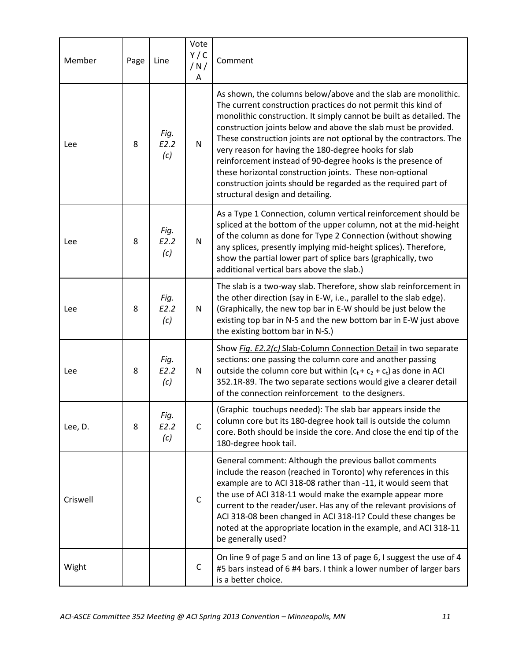| Member   | Page | Line                | Vote<br>Y/C<br>/N/<br>A | Comment                                                                                                                                                                                                                                                                                                                                                                                                                                                                                                                                                                                                                                 |
|----------|------|---------------------|-------------------------|-----------------------------------------------------------------------------------------------------------------------------------------------------------------------------------------------------------------------------------------------------------------------------------------------------------------------------------------------------------------------------------------------------------------------------------------------------------------------------------------------------------------------------------------------------------------------------------------------------------------------------------------|
| Lee      | 8    | Fig.<br>E2.2<br>(c) | N                       | As shown, the columns below/above and the slab are monolithic.<br>The current construction practices do not permit this kind of<br>monolithic construction. It simply cannot be built as detailed. The<br>construction joints below and above the slab must be provided.<br>These construction joints are not optional by the contractors. The<br>very reason for having the 180-degree hooks for slab<br>reinforcement instead of 90-degree hooks is the presence of<br>these horizontal construction joints. These non-optional<br>construction joints should be regarded as the required part of<br>structural design and detailing. |
| Lee      | 8    | Fig.<br>E2.2<br>(c) | N                       | As a Type 1 Connection, column vertical reinforcement should be<br>spliced at the bottom of the upper column, not at the mid-height<br>of the column as done for Type 2 Connection (without showing<br>any splices, presently implying mid-height splices). Therefore,<br>show the partial lower part of splice bars (graphically, two<br>additional vertical bars above the slab.)                                                                                                                                                                                                                                                     |
| Lee      | 8    | Fig.<br>E2.2<br>(c) | N                       | The slab is a two-way slab. Therefore, show slab reinforcement in<br>the other direction (say in E-W, i.e., parallel to the slab edge).<br>(Graphically, the new top bar in E-W should be just below the<br>existing top bar in N-S and the new bottom bar in E-W just above<br>the existing bottom bar in N-S.)                                                                                                                                                                                                                                                                                                                        |
| Lee      | 8    | Fig.<br>E2.2<br>(c) | N                       | Show Fig. E2.2(c) Slab-Column Connection Detail in two separate<br>sections: one passing the column core and another passing<br>outside the column core but within $(c_t + c_2 + c_t)$ as done in ACI<br>352.1R-89. The two separate sections would give a clearer detail<br>of the connection reinforcement to the designers.                                                                                                                                                                                                                                                                                                          |
| Lee, D.  | 8    | Fig.<br>E2.2<br>(c) | $\mathsf C$             | (Graphic touchups needed): The slab bar appears inside the<br>column core but its 180-degree hook tail is outside the column<br>core. Both should be inside the core. And close the end tip of the<br>180-degree hook tail.                                                                                                                                                                                                                                                                                                                                                                                                             |
| Criswell |      |                     | C                       | General comment: Although the previous ballot comments<br>include the reason (reached in Toronto) why references in this<br>example are to ACI 318-08 rather than -11, it would seem that<br>the use of ACI 318-11 would make the example appear more<br>current to the reader/user. Has any of the relevant provisions of<br>ACI 318-08 been changed in ACI 318-I1? Could these changes be<br>noted at the appropriate location in the example, and ACI 318-11<br>be generally used?                                                                                                                                                   |
| Wight    |      |                     | C                       | On line 9 of page 5 and on line 13 of page 6, I suggest the use of 4<br>#5 bars instead of 6 #4 bars. I think a lower number of larger bars<br>is a better choice.                                                                                                                                                                                                                                                                                                                                                                                                                                                                      |